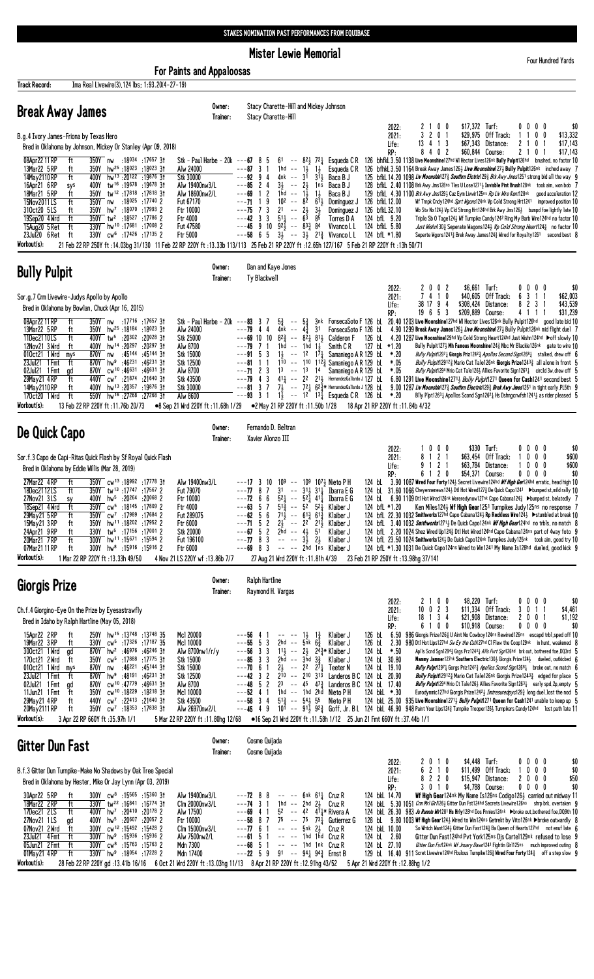**Mister Lewie Memorial** 

Four Hundred Yards

| <b>For Paints and Appaloosas</b>                                                                                                                                                                                                                                                                                                                                                                                                                                                                                                                                                                                                                                                                                                                                                                                                                                                                                                                                                                         |                    |                                                                                                                                                                                                                                                                                                                                                                                                                                                                                                                                                                                                                                                                                                                                                                                                                                                                                                                                                                                                                                                                                                                                                                                                                                                                                                                                                                                                                                                                                                                                                                                                                                                                                                                                                                                                                                                                                                                                                                                                                                                                                                                          |
|----------------------------------------------------------------------------------------------------------------------------------------------------------------------------------------------------------------------------------------------------------------------------------------------------------------------------------------------------------------------------------------------------------------------------------------------------------------------------------------------------------------------------------------------------------------------------------------------------------------------------------------------------------------------------------------------------------------------------------------------------------------------------------------------------------------------------------------------------------------------------------------------------------------------------------------------------------------------------------------------------------|--------------------|--------------------------------------------------------------------------------------------------------------------------------------------------------------------------------------------------------------------------------------------------------------------------------------------------------------------------------------------------------------------------------------------------------------------------------------------------------------------------------------------------------------------------------------------------------------------------------------------------------------------------------------------------------------------------------------------------------------------------------------------------------------------------------------------------------------------------------------------------------------------------------------------------------------------------------------------------------------------------------------------------------------------------------------------------------------------------------------------------------------------------------------------------------------------------------------------------------------------------------------------------------------------------------------------------------------------------------------------------------------------------------------------------------------------------------------------------------------------------------------------------------------------------------------------------------------------------------------------------------------------------------------------------------------------------------------------------------------------------------------------------------------------------------------------------------------------------------------------------------------------------------------------------------------------------------------------------------------------------------------------------------------------------------------------------------------------------------------------------------------------------|
| Ima Real Livewire(3), 124 lbs; 1:93.20(4-27-19)<br>Track Record:                                                                                                                                                                                                                                                                                                                                                                                                                                                                                                                                                                                                                                                                                                                                                                                                                                                                                                                                         |                    |                                                                                                                                                                                                                                                                                                                                                                                                                                                                                                                                                                                                                                                                                                                                                                                                                                                                                                                                                                                                                                                                                                                                                                                                                                                                                                                                                                                                                                                                                                                                                                                                                                                                                                                                                                                                                                                                                                                                                                                                                                                                                                                          |
| <b>Break Away James</b>                                                                                                                                                                                                                                                                                                                                                                                                                                                                                                                                                                                                                                                                                                                                                                                                                                                                                                                                                                                  | Owner:<br>Trainer: | Stacy Charette-Hill and Mickey Johnson<br>Stacy Charette-Hill<br>$$17,372$ Turf:<br>2 1 0 0                                                                                                                                                                                                                                                                                                                                                                                                                                                                                                                                                                                                                                                                                                                                                                                                                                                                                                                                                                                                                                                                                                                                                                                                                                                                                                                                                                                                                                                                                                                                                                                                                                                                                                                                                                                                                                                                                                                                                                                                                              |
| B.g.4 Ivory James-Friona by Texas Hero<br>Bred in Oklahoma by Johnson, Mickey Or Stanley (Apr 09, 2018)                                                                                                                                                                                                                                                                                                                                                                                                                                                                                                                                                                                                                                                                                                                                                                                                                                                                                                  |                    | 2022:<br>0000<br>\$0<br>3<br>201<br>\$29,975 Off Track:<br>0 <sub>0</sub><br>\$13,332<br>2021:<br>11<br>13 4 1 3<br>\$67,343 Distance:<br>0 <sub>1</sub><br>\$17,143<br>$\mathbf{2}$<br>-1<br>Life:                                                                                                                                                                                                                                                                                                                                                                                                                                                                                                                                                                                                                                                                                                                                                                                                                                                                                                                                                                                                                                                                                                                                                                                                                                                                                                                                                                                                                                                                                                                                                                                                                                                                                                                                                                                                                                                                                                                      |
| 08Apr22 11 RP<br>ft<br>$350Y$ nw<br>:18 <sup>034</sup> :17 <sup>657</sup> 3†<br>Stk - Paul Harbe - 20k<br>13Mar22 5 RP<br>350Y hw <sup>25</sup> :18023:18023 31<br>ft<br>Alw 24000<br>14May 2110 RP<br>ft<br>400Y hw <sup>13</sup> :20122 :19876 31<br>Stk 30000<br>16Apr21 6RP<br>400Y tw <sup>16</sup> :19678:1967831<br>Alw 19400nw3/L<br>sys<br>ft<br>18Mar21 5 RP<br>350Y tw <sup>12</sup> :17818:1781831<br>Alw 18600nw2/L<br>350Y nw<br>:18 <sup>025</sup> :17 <sup>740</sup> 2<br>15Nov2011LS<br>ft<br>Fut 67170<br>310ct20 5LS<br>350Y hw <sup>7</sup> :18070 :17993 2<br>Ftr 10000<br>ft<br>ft<br>350Y tw <sup>2</sup> :18527 :17786 2<br>19Sep20 4 Wrd<br>Ftr 4000<br>ft<br>330Y hw <sup>10</sup> :17681:170082<br>15Aug20 5 Ret<br>Fut 47580<br>23Jul20 6 Ret<br>ft<br>330Y cw <sup>6</sup> :17426 :17135 2<br>Ftr 5000<br>Workout(s):                                                                                                                                                       |                    | 8402<br>\$60,844 Course:<br>21<br>\$17,143<br>RP:<br>0 <sub>1</sub><br>126 bhfkL 3.50 1138 Live Moonshine127hd WI Hector Lives126nk Bully Pulpit126hd brushed, no factor 10<br>$---67$ 8<br>61 -- 8 <sup>2</sup> / <sub>2</sub> 7 <sup>2</sup> / <sub>4</sub> Esqueda C R<br>-5<br>$---87$ 3 1<br>$1\frac{1}{2}$<br>$1\frac{1}{2}$<br>Esqueda C R<br>126 bfhkl 3.50 1164 Break Away James1263 Live Moonshine1273 Bully Pulpit126nk inched away 7<br>$1hd$ --<br>$---92$ 9 4<br>4nk -- 3 <sup>1</sup><br>$3^{\overline{1}}\frac{1}{2}$ Baca B J<br>125 bfkl 14.20 1098 Liv Moonshin1273 Southrn Eletric1293 Brk Awy Jmes1251 strong bid all the way 9<br>$---85$ 2 4<br>$3\frac{1}{2}$ -- $2\frac{1}{2}$<br>128 bfkl 2.40 1108 Brk Awy Jms128ns Tles U Lose12713 Invisble Pint Brush128nk took aim, won bob 7<br>1ns<br>Baca B J<br>$---69$ 1 2<br>1hd -- $1\frac{1}{2}$<br>$1\frac{1}{2}$<br>Baca B J<br>129 bfkl 4.30 1100 Brk Awy Jms1293 Cuz Eym Livwir125ns Rp Liv Wire Kent128nk<br>good acceleration 12<br>10 <sup>2</sup> -- $8^{\overline{2}}$ $6^{\overline{1}}\frac{1}{2}$ Dominguez J<br>9<br>$---71$ 1<br>126 bfkL 12.00<br>Wf Trnpk Cndy124hd Sprt Wgons124nk Vp Cold Strong Hrt1241 improved position 10<br>$2^1$ -- $2^1_2$ $3^1_2$<br>126 bfkL 32.10<br>$---75$ 7 3<br>Dominguez J<br>Wb Stv Nx124 $\frac{1}{2}$ Vp Cld Strong Hrt124hd Brk Awy Jms126 $\frac{1}{2}$ bumpd foe lightly late 10<br>$5^{11}$ -- $6^{3}$ $8^{5}$<br>$---42$ 3 3<br>124 bfL 9.20<br>Torres D A<br>Triple Sb 0 Tage124½ Wf Turnpike Candy1242 Ring My Barb Wire124hd no factor 10<br>$---45$ 9 10 92 $\frac{1}{2}$ $---$ 83 $\frac{3}{4}$ 84<br>Vivanco L L<br>124 bfkL 5.80<br>Just Wishn1303 Seperate Wagons1243 Vp Cold Strong Heart1243 no factor 10<br>$---58$ 6 5 $3\frac{1}{2}$ $---3\frac{1}{2}$ 2 <sup>13</sup> / <sub>4</sub> Vivanco L L<br>124 bfL *1.80<br>Seperte Wgons1241 $\frac{3}{4}$ Brek Away James124 $\frac{3}{4}$ Wired for Royalty1261 second best 8<br>21 Feb 22 RP 250Y ft :14.03bg 31/130 11 Feb 22 RP 220Y ft :13.33b 113/113 25 Feb 21 RP 220Y ft :12.65h 127/167 5 Feb 21 RP 220Y ft :13h 50/71 |
| <b>Bully Pulpit</b>                                                                                                                                                                                                                                                                                                                                                                                                                                                                                                                                                                                                                                                                                                                                                                                                                                                                                                                                                                                      | Owner:<br>Trainer: | Dan and Kaye Jones<br>Ty Blackwell                                                                                                                                                                                                                                                                                                                                                                                                                                                                                                                                                                                                                                                                                                                                                                                                                                                                                                                                                                                                                                                                                                                                                                                                                                                                                                                                                                                                                                                                                                                                                                                                                                                                                                                                                                                                                                                                                                                                                                                                                                                                                       |
| Sor.g.7 Crm Livewire-Judys Apollo by Apollo                                                                                                                                                                                                                                                                                                                                                                                                                                                                                                                                                                                                                                                                                                                                                                                                                                                                                                                                                              |                    | \$6,661 Turf:<br>2 0 0 2<br>0000<br>2022:<br>\$0<br>7410<br>\$40,605 Off Track:<br>6 3 1 1<br>\$62,003<br>2021:<br>38 17 9 4<br>\$308,424 Distance:<br>8231<br>\$43,539                                                                                                                                                                                                                                                                                                                                                                                                                                                                                                                                                                                                                                                                                                                                                                                                                                                                                                                                                                                                                                                                                                                                                                                                                                                                                                                                                                                                                                                                                                                                                                                                                                                                                                                                                                                                                                                                                                                                                  |
| Bred in Oklahoma by Bowlan, Chuck (Apr 16, 2015)<br>08Apr22 11 RP<br>$350Y$ nw<br>17657 17716: 17657.<br>Stk - Paul Harbe - 20k ---83 3 7<br>ft<br>13Mar22 5 RP<br>350Y hw <sup>25</sup> :18184 :18023 31<br>Alw 24000<br>ft<br>11Dec2110LS<br>:20 <sup>302</sup> :20 <sup>028</sup> 31<br>ft<br>400Y tw <sup>5</sup><br>Stk 25000<br>400Y hw <sup>14</sup> :20297:2029731<br>12Nov21 3 Wrd<br>Alw 8700<br>ft<br>:45144 :45144 31<br>Stk 15000<br>010ct21 1 Wrd<br>870Y nw<br>mys<br>870Y hw <sup>9</sup> :46 <sup>231</sup> :46 <sup>231</sup> 31<br>Stk 12500<br>23Ju121 1 Fmt<br>ft<br>cw <sup>10</sup> :46631:4663131<br>870Y<br>Alw 8700<br>02Jul21 1 Fmt<br>gd<br>ft<br>440Y cw <sup>7</sup> :21874 :21640 31<br>Stk 43500<br>29May21 4RP<br>hw <sup>13</sup> :20357:19876 3t<br>ft<br>400Y<br>Stk 30000<br>14May 2110 RP<br>ft<br>550Y<br>hw <sup>16</sup> :27268:2726831<br>170ct20 1 Wrd<br>Alw 8600<br>Workout(s):<br>13 Feb 22 RP 220Y ft: 11.76b 20/73<br>●8 Sep 21 Wrd 220Y ft :11.68h 1/29 |                    | Life:<br>19653<br>\$209,889 Course:<br>\$31,239<br>4 1 1 1<br>RP:<br>3nk FonsecaSoto F 126 bl 20.40 1203 Live Moonshine127hd WI Hector Lives126nk Bully Pulpit126hd good late bid 10<br>$5\frac{3}{4}$ -- $5\frac{3}{4}$ 3nk FonsecaSoto F 126 bL<br>4nk -- $4\frac{3}{4}$ 31 FonsecaSoto F 126 bL<br>$---79$ 4 4<br>4.90 1299 Break Away James1263 Live Moonshine1273 Bully Pulpit126nk mid flight duel 7<br>$-$ -69 10 10 8 <sup>2</sup> / <sub>2</sub> -- 8 <sup>2</sup> / <sub>2</sub> 8 <sup>1</sup> / <sub>2</sub> Calderon F<br>126 bL<br>4.20 1287 Live Moonshine129hd Vp Cold Strong Heart124hd Just Wishn124hd Doff slowly 10<br>1hd $-$ 1hd $1\frac{1}{2}$ Smith CR<br>127 bL *1.20<br>$---79$ 7 1<br>Bully Pulpit1273 Mh Famous Moonshine1243 Nbc Mr Blackie126nk gate to wire 10<br>$--91$ 5 3<br>1 $\frac{1}{2}$ -- 1 <sup>2</sup> 1 <sup>7</sup> $\frac{1}{4}$ Samaniego A R 129 bL<br>*.20<br>Bully Pulpit12971 Giorgis Priz12423 Apollos Second Sign12681 stalked, drew off 6<br>$--81$ 1 1<br>110 -- 110 112 <sup>3</sup> / <sub>3</sub> Samaniego A R 129 bl<br>*.05<br><i>Bully Pulpit</i> 129123 Mario Cat Tale 126nk Giorgis Prize 12433 all alone in front 5<br>$---71$ 2 3<br>13 -- 13 14 Samaniego AR 129 bL<br>*.05<br>Bully Pulpit1294 Mrio Cat Tale126} Allies Favorite Sign1263} circld 3w, drew off 5<br>$---79$ 4 3 41 $\frac{1}{4}$ $---$ 2 <sup>2</sup> 21 $\frac{1}{2}$ HernandezGallardo J 127 bl<br>6.80 1291 Live Moonshine1271 <sub>2</sub> Bully Pulpit1271 Queen for Cash1241 second best 5<br>$---81$ 3 7 7 $\frac{1}{2}$ $---$ 72 $\frac{1}{4}$ 62 $\frac{3}{4}$ HernandezGallardo J 128 bl<br>9.00 1287 Liv Moonshin 27 <sup>3</sup> Southrn Electric 29 <sup>3</sup> Brek Awy Jmes 125 <sup>1</sup> in tight early, PL5th 9<br>$1\frac{1}{2}$ -- 1 <sup>2</sup> 1 <sup>3</sup> $\frac{1}{4}$ Esqueda C R 126 bL *.20<br>$---93$ 3 1<br>Blly Plpt12631 Apollos Scond Sgn12621 Hs Dshngcrwfsh12411 as rider pleased 5<br>●2 May 21 RP 220Y ft:11.50b 1/28<br>18 Apr 21 RP 220Y ft : 11.84b 4/32                                                                                |
| De Quick Capo                                                                                                                                                                                                                                                                                                                                                                                                                                                                                                                                                                                                                                                                                                                                                                                                                                                                                                                                                                                            | Owner:<br>Trainer: | Fernando D. Beltran<br>Xavier Alonzo III                                                                                                                                                                                                                                                                                                                                                                                                                                                                                                                                                                                                                                                                                                                                                                                                                                                                                                                                                                                                                                                                                                                                                                                                                                                                                                                                                                                                                                                                                                                                                                                                                                                                                                                                                                                                                                                                                                                                                                                                                                                                                 |
| Sor.f.3 Capo de Capi-Ritas Quick Flash by Sf Royal Quick Flash<br>Bred in Oklahoma by Eddie Willis (Mar 28, 2019)                                                                                                                                                                                                                                                                                                                                                                                                                                                                                                                                                                                                                                                                                                                                                                                                                                                                                        |                    | \$330 Turf:<br>$0\,0\,0$<br>$0\,0\,0\,0$<br>\$0<br>2022:<br>8 1 2 1<br>\$63,454 Off Track:<br>$0\ 0\ 0$<br>1<br>\$600<br>2021:<br>9121<br>\$63,784 Distance:<br>\$600<br>1000<br>Life:                                                                                                                                                                                                                                                                                                                                                                                                                                                                                                                                                                                                                                                                                                                                                                                                                                                                                                                                                                                                                                                                                                                                                                                                                                                                                                                                                                                                                                                                                                                                                                                                                                                                                                                                                                                                                                                                                                                                   |
| 27Mar22 4RP<br>ft<br>350Y cw <sup>13</sup> :18992 :17778 31<br>Alw 19400nw3/L<br>ft<br>350Y tw <sup>13</sup> :17747:17567 2<br>18Dec2112LS<br>Fut 79070<br>400Y hw <sup>5</sup> :20264 :20068 2<br>27Nov21 3LS<br>Ftr 10000<br>sy<br>ft<br>18Sep21 4 Wrd<br>350Y cw <sup>5</sup> :18145 :17809 2<br>Ftr 4000<br>350Y cw <sup>7</sup> :17989 :17684 2<br>29May21 5 RP<br>ft<br>Fut 289075<br>350Y hw <sup>11</sup> :18202 :17952 2<br>15May21 3 RP<br>Ftr 6000<br>ft<br>24Apr21 9RP<br>330Y tw <sup>5</sup> :17156 :17001 2<br>ft<br><b>Stk 20000</b><br>ft<br>300Y hw <sup>11</sup> :15671 :15594 2<br>20Mar21 7RP<br>Fut 196100<br>07Mar21 11 RP<br>ft<br>$300Y$ hw <sup>8</sup> :15916 :15916 2<br>Ftr 6000<br>Workout(s):<br>1 Mar 22 RP 220Y ft : 13.33h 49/50<br>4 Nov 21 LS 220Y wf: 13.86b 7/7                                                                                                                                                                                                    |                    | 6 1 2 0<br>\$54,371 Course:<br>$0\ 0\ 0\ 0$<br>\$0<br>RP:<br>---17 3 10 10 <sup>9</sup> -- 10 <sup>9</sup> 10 <sup>7</sup> } Nieto P H<br>124 bl. 3.90 1087 Wired Four Forty1243 Secret Livewire124hd <i>Wf High Ger</i> 124hd erratic, head high 10<br>$--77$ 8 7<br>$31 - - 31\frac{1}{2} 31\frac{1}{4}$ Ibarra E G<br>124 bL 31.60 1066 Cheyennenews124½ Dtl Hot Wired127½ De Quick Capo1241 ▶bumped st,mild rally 10<br>$5^2$ + $-5^2$ + $4^1$ + $\frac{1}{4}$ + $\frac{1}{4}$ + $\frac{1}{4}$ + $\frac{1}{4}$ + $\frac{1}{4}$ + $\frac{1}{4}$ + $\frac{1}{4}$ + $\frac{1}{4}$ + $\frac{1}{4}$ + $\frac{1}{4}$ + $\frac{1}{4}$ + $\frac{1}{4}$ + $\frac{1}{4}$ + $\frac{1}{4}$ + $\frac{1}{4}$ + $\frac{1}{4}$ + $\frac{$<br>124 bL 6.90 1109 Dt1 Hot Wired126nk Wereredynow127nk Capo Cabana1243 >bumped st, belatedly 7<br>$---72$ 6 6<br>$5^{1\frac{3}{4}}$ --<br>$--63$ 5 7<br>Ken Miles1243 Wf High Gear1251 Turnpikes Judy125ns no response 7<br>5 <sup>2</sup><br>$52$ Klaiber J<br>124 bfL *1.20<br>$---62$ 5 6<br>$71\frac{1}{2}$ -- $61\frac{3}{4}$ 61 $\frac{3}{4}$ Klaiber J<br>124 bfL 22.30 1032 Smithworks127hd Capo Cabana124½ Rp Reckless Wire124½ ▶stumbled at break 10<br>$---71$ 5 2<br>$2\frac{1}{2}$ -- $2^2$ $2^{11}$ Klaiber J<br>124 bfl. 3.40 1032 Smithworks12713 De Quick Capo124nk Wf High Gear124hd no trbls, no match 8<br>$---67$ 5 2<br>$2hd - 4\frac{1}{2}$<br>51<br>124 bfL 2.20 1024 Shez Wired Up124½ Dtl Hot Wired124hd Capo Cabana124ns part of 4way foto 9<br>Klaiber J<br>$---77$ 8 3<br>$3\overline{3}$ $2\overline{3}$<br>124 bfl. 23.50 1024 Smithworks1243 De Quick Capo124nk Turnpikes Judy125nk took aim, good try 10<br>$\sim$ - $\sim$<br>Klaiber J<br>$---69$ 8 3<br>-- -- 2hd 1ns Klaiber J<br>124 bfl *1.30 1031 De Quick Capo124ns Wired to Win1241 My Name Is128hd dueled, good kick 9<br>27 Aug 21 Wrd 220Y ft: 11.81h 4/39<br>23 Feb 21 RP 250Y ft: 13.98hg 37/141                                                                                                                                                                                           |
| Giorgis Prize                                                                                                                                                                                                                                                                                                                                                                                                                                                                                                                                                                                                                                                                                                                                                                                                                                                                                                                                                                                            | Owner:<br>Trainer: | Ralph Hartline<br>Raymond H. Vargas                                                                                                                                                                                                                                                                                                                                                                                                                                                                                                                                                                                                                                                                                                                                                                                                                                                                                                                                                                                                                                                                                                                                                                                                                                                                                                                                                                                                                                                                                                                                                                                                                                                                                                                                                                                                                                                                                                                                                                                                                                                                                      |
| Ch.f.4 Giorgino-Eye On the Prize by Eyesastrawfly<br>Bred in Idaho by Ralph Hartline (May 05, 2018)                                                                                                                                                                                                                                                                                                                                                                                                                                                                                                                                                                                                                                                                                                                                                                                                                                                                                                      |                    | \$8,220 Turf:<br>0 0 0 0<br>\$0<br>2 1 0 0<br>2022:<br>$10 \t 0 \t 2 \t 3$<br>\$11,334 Off Track:<br>3 0 1 1<br>\$4,461<br>2021:<br>\$21,908 Distance:<br>2 0 0 1<br>\$1,192<br>18 1 3 4<br>Life:                                                                                                                                                                                                                                                                                                                                                                                                                                                                                                                                                                                                                                                                                                                                                                                                                                                                                                                                                                                                                                                                                                                                                                                                                                                                                                                                                                                                                                                                                                                                                                                                                                                                                                                                                                                                                                                                                                                        |
| 15Apr22 2RP<br>250Y hw <sup>15</sup> :13748:13748.35<br>ft<br>Mc1 20000<br>19Mar22 3 RP<br>ft<br>330Y cw <sup>5</sup> :17326:1718735<br>Mc1 10000<br>870Y hw <sup>2</sup> :46976 :46246 31<br>300ct21 1 Wrd<br>Alw 8700nw1/r/y<br>ad<br>350Y cw <sup>5</sup> :17888 :17775 31<br>Stk 15000<br>170ct21 2 Wrd<br>ft<br>010ct21 1 Wrd mys<br>870Y<br>:46221 :45144 31<br>Stk 15000<br>nw<br>23Jul21 1 Fmt<br>48 <sup>191</sup> :46 <sup>231</sup> 31:<br>Stk 12500<br>ft<br>870Y hw <sup>9</sup><br>870Y cw <sup>10</sup> :47779 :46631 3t<br>02Jul21 1 Fmt<br>Alw 8700<br>gd<br>cw <sup>10</sup> :18 <sup>229</sup> :18 <sup>218</sup> 31<br>11Jun21 1 Fmt<br>350Y<br>Mcl 10000<br>ft<br>ft<br>440Y cw <sup>7</sup> :22413 :21640 31<br>29May21 4RP<br><b>Stk 43500</b><br>350Y cw <sup>7</sup> :18353 :17838 31<br>ft<br>Alw 26970nw2/L<br>20May 2111 RP<br>Workout(s):<br>3 Apr 22 RP 660Y ft:35.97h 1/1                                                                                                 |                    | \$10,918 Course:<br>$0\,0\,0\,0$<br>6100<br>\$0<br>RP:<br>126 bl. 6.50 986 Giorgis Prize1263 U Aint No Cowboy124ns Rewired126ns escapd trbl, sped off 10<br>$--- 1\frac{1}{2}$ 1 <sup>3</sup> / <sub>4</sub> Klaiber J<br>$---56$ 4 1<br>$---55$ 5 3<br>2hd -- $5nk$ $6\frac{3}{4}$<br>126 bL<br>980 Dtl Hot Lips127hd Sw Ey the Csh127hd Cl Flew the Coop129nk in hunt, weakened 8<br>Klaiber J<br>2.30<br>$---56$ 3 3<br>$11\frac{1}{2}$ -- $2\frac{1}{2}$ $24\frac{3}{4}$ Klaiber J<br>124 bL *.50<br>Apils Scnd Sgn12943 Grgs Prz12431 Alls Fvrt Sgn126hd brk out, bothered foe, DQ3rd 5<br>$---85$ 3 3<br>$2h\bar{d}$ -- $3\bar{h}d$ $3\frac{3}{4}$ Klaiber J<br>124 bL 30.80<br>Mammy Jammer127nk Southern Electric1303 Giorgis Prize1243 dueled, outkicked 6<br>$---70$ 6 1<br>$2\frac{1}{2}$ -- 2 <sup>2</sup> $2\frac{7}{4}$ Teeter N 124 bl. 19.10<br>2 <sup>1</sup> 0 -- 2 <sup>10</sup> 3 <sup>13</sup> Landeros B C 124 bl. 20.90<br><b>Bully Pulpt</b> 1297 <sub>4</sub> Gorgs Priz1242 <sub>3</sub> Apollos Scond Sign1268 <sub>4</sub> broke out, no match 6<br>$---42$ 3 2<br><b>Bully Pulp/f</b> 2912 <sup>3</sup> Mario Cat Tale126nk Giorgis Prize1243 <sup>3</sup> edged for place 5<br>$---48$ 5 2<br>23 -- 45 $47\frac{3}{4}$ Landeros B C 124 bl 17.40<br><b>Bully Pulpit</b> 1294 Mrio Ct Tale 1263 Allies Favorite Sign 126 <sup>31</sup> early spd, 2p, empty 5<br>1hd -- 1hd 2hd Nieto PH<br>$---52$ 4 1<br>124 bkL *.30<br>Eurodynmic127hd Giorgis Prize12423 <i>Imtresuredpyc</i> 129 $\frac{3}{4}$ long duel, lost the nod 5<br>$5^{13}$ -- $5^{41}$ , $5^{5}$<br>124 bkl 25.00 935 Live Moonshine12713 Bully Pulpit1271 Queen for Cash1241 unable to keep up 5<br>$---58$ 3 4<br>Nieto P H<br>$---45$ 4 9<br>$101$ -- $91\frac{1}{2}$ $92\frac{3}{2}$ Goff, Jr. BL 124 bkL 46.90 948 Paint Your Lips124 $\frac{3}{4}$ Turnpike Trooper126 $\frac{1}{2}$ Turnpikers Candy124hd lost path late 11<br>5 Mar 22 RP 220Y ft:11.80hg 12/68 ●16 Sep 21 Wrd 220Y ft:11.58h 1/12 25 Jun 21 Fmt 660Y ft:37.44b 1/1                                                                                 |
| Gitter Dun Fast                                                                                                                                                                                                                                                                                                                                                                                                                                                                                                                                                                                                                                                                                                                                                                                                                                                                                                                                                                                          | Owner:<br>Trainer: | Cosme Quijada<br>Cosme Quijada                                                                                                                                                                                                                                                                                                                                                                                                                                                                                                                                                                                                                                                                                                                                                                                                                                                                                                                                                                                                                                                                                                                                                                                                                                                                                                                                                                                                                                                                                                                                                                                                                                                                                                                                                                                                                                                                                                                                                                                                                                                                                           |
| B.f.3 Gitter Dun Turnpike-Make No Shadows by Oak Tree Special<br>Bred in Oklahoma by Hester, Mike Or Jay Lynn (Apr 03, 2019)<br>30Apr22 5 RP<br>$300Y$ cw <sup>8</sup> :15565 :15360 31<br>Alw 19400nw3/L<br>ft<br>18Mar22 2RP<br>ft<br>330Y tw <sup>22</sup> :16841:16774 31<br>Clm 20000nw3/L<br>17Dec21 2LS<br>ft<br>400Y hw <sup>7</sup> :20410 :20178 2<br>Alw 17500<br>400Y hw <sup>5</sup> :20607 :20057 2<br>27Nov21 1LS<br>Ftr 10000<br>gd<br>300Y cw <sup>12</sup> :15492:15428 2<br>ft<br>Clm 15000nw3/L<br>07Nov21 2Wrd<br>300Y hw <sup>9</sup> :15936 :15936 2<br>23Jul21 4 Fmt<br>ft<br>Alw 7500nw2/L<br>ft<br>$300Y$ cw <sup>8</sup> :15763 :15763 2<br>Mdn 7300<br>05Jun21 2 Fmt<br>ft<br>330Y hw <sup>9</sup> :18054 :17228 2<br>Mdn 17400<br>01May21 4RP<br>Workout(s):<br>28 Feb 22 RP 220Y gd:13.41b 16/16 6 Oct 21 Wrd 220Y ft:13.03hg 11/13 8 Apr 21 RP 220Y ft:12.91hg 43/52                                                                                                      |                    | 2 0 1 0<br>\$4,448 Turf:<br>0000<br>\$0<br>2022:<br>\$11,499 Off Track:<br>6 2 1 0<br>1000<br>\$0<br>2021:<br>8 2 2 0<br>\$15,947 Distance:<br>2 0 0 0<br>\$50<br>Life:<br>\$4,788 Course:<br>$0\,0\,0\,0$<br>3010<br>\$0<br>RP:<br>$---72$ 8 8<br>$--- 6nk 61\frac{1}{k}$ Cruz R<br>124 bkL 14.70<br><b>Wf High Gear</b> 124nk My Name Is126ns Codigo 126 $\frac{1}{2}$ carried out midway 11<br>$---74$ 3 1<br>1hd $--$ 2hd 2 $\frac{1}{2}$ Cruz R<br>124 bkL 5.30 1051 Crm Mr1 Girn 263 Gitter Dun Fst124hd Secrets Livewire126ns shrp brk, overtaken 9<br>$---69$ 4 1<br>52 -- 42 $4^{1}4^{*}$ Rivera A<br>124 bkl 26.30 983 Js Runnin Wir1281 Hs Hrly128hd Dos Pnnies124nk >broke out, bothered foe, DQ9th 10<br>$--58$ 8 7<br>75 -- 75 73 $\frac{1}{4}$ Gutierrez G<br>128 bl. 9.80 1003 Wf High Gear1243 Wired to Win124ns Getrekt by Vito126nk Dbroke outwardly 8<br>$---77$ 6 1<br>-- -- 5nk 2½ Cruz R<br>124 bkL 10.00<br>So Whtch Want124} Gitter Dun Fast124} Ba Queen of Hearts127hd not enuf late 6<br>$--61$ 5 1<br>$---$ 1hd 1hd Cruz R<br>124 bL 2.60<br>Gitter Dun Fast124hd Pvt York125ns Dis Cartel129nk refused to lose 9<br>$--68$ 5 1<br>$---$ 1hd 1nk $CruzR$<br>124 bL 27.10<br>Gitter Dun Fst124nk Wf Jnuary Dawn1241 Fightin Girl125ns much improved outing 8<br>$---22 5 9$<br>91 -- $94\frac{1}{4}$ $94\frac{3}{4}$ Ernst B<br>129 bL 16.40 911 Scret Livewire 124hd Fbulous Turnpike 126 <sup>3</sup> Wired Four Forty 124 <sup>3</sup> off a step slow 9<br>5 Apr 21 Wrd 220Y ft: 12.88hg 1/2                                                                                                                                                                                                                                                                                                                                                                                                                                                                                                                                                                                             |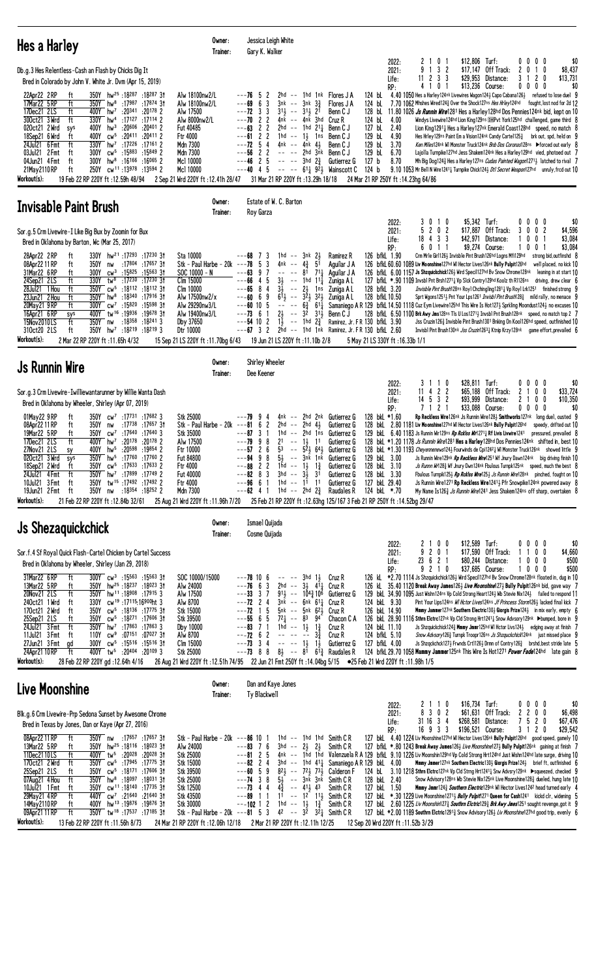| Hes a Harley                                                                                                                                                                                                                                                                                                                                                                                                                                                                                                                                                                                                                                                                                                                                                                                                                                                   | Owner:<br>Trainer:                                                                                                                                                                                                    | Jessica Leigh White<br>Gary K. Walker                                                                                                                                                                                                                                                                                                                                                                                                                                                          |                                                                                                                                                                                                                                                                                                                                                                                                   |                                                                                                                                                                          |                                                                                                                                                                                                  |                                                                                                                                                                                                                                                                                                                                                                                                                                                                                                                                                                                                                                                                                                                                                                                                                                                                                                                                                                                                                                                                                                                                                                                                                                                             |
|----------------------------------------------------------------------------------------------------------------------------------------------------------------------------------------------------------------------------------------------------------------------------------------------------------------------------------------------------------------------------------------------------------------------------------------------------------------------------------------------------------------------------------------------------------------------------------------------------------------------------------------------------------------------------------------------------------------------------------------------------------------------------------------------------------------------------------------------------------------|-----------------------------------------------------------------------------------------------------------------------------------------------------------------------------------------------------------------------|------------------------------------------------------------------------------------------------------------------------------------------------------------------------------------------------------------------------------------------------------------------------------------------------------------------------------------------------------------------------------------------------------------------------------------------------------------------------------------------------|---------------------------------------------------------------------------------------------------------------------------------------------------------------------------------------------------------------------------------------------------------------------------------------------------------------------------------------------------------------------------------------------------|--------------------------------------------------------------------------------------------------------------------------------------------------------------------------|--------------------------------------------------------------------------------------------------------------------------------------------------------------------------------------------------|-------------------------------------------------------------------------------------------------------------------------------------------------------------------------------------------------------------------------------------------------------------------------------------------------------------------------------------------------------------------------------------------------------------------------------------------------------------------------------------------------------------------------------------------------------------------------------------------------------------------------------------------------------------------------------------------------------------------------------------------------------------------------------------------------------------------------------------------------------------------------------------------------------------------------------------------------------------------------------------------------------------------------------------------------------------------------------------------------------------------------------------------------------------------------------------------------------------------------------------------------------------|
| Db.g.3 Hes Relentless-Cash an Flash by Chicks Dig It<br>Bred in Colorado by John V. White Jr. Dvm (Apr 15, 2019)<br>350Y hw <sup>25</sup> :18287:1828731<br>22Apr22 2RP<br>tt<br>ft<br>17Mar22 5 RP<br>350Y<br>hw <sup>8</sup> :17987 :17874 31<br>17Dec21 2LS<br>ft<br>2 20178: 20341 20178<br>300ct21 3 Wrd<br>hw <sup>4</sup> : 17127: 17114 2<br>ft<br>330Y<br>020ct21 2 Wrd<br>hw <sup>3</sup><br>:20606<br>$:20^{401}$ 2<br>400Y<br>sys<br>18Sep21 6 Wrd<br>400Y<br>$CW^5$<br>:20411<br>:20411 2<br>ft<br>hw <sup>7</sup> : 17226: 17161 2<br>24Jul21 6 Fmt<br>ft<br>330Y<br>300Y cw <sup>5</sup> :15883 :15849 2<br>03Jul21 2 Fmt<br>ft<br>hw <sup>8</sup> :16166 :16065 2<br>300Y<br>04Jun21 4Fmt<br>ft                                                                                                                                                | Alw 18100nw2/L<br>Alw 18100nw2/L<br>Alw 17500<br>Alw 8000nw2/L<br>Fut 40485<br>Ftr 4000<br>Mdn 7300<br>Mdn 7300<br>Mc1 10000                                                                                          | $---76$ 5<br>2<br>3<br>---69<br>6<br>$3nk$ -- $3nk$ $3\frac{3}{4}$<br>$---72$ 3 3<br>$31\frac{1}{2}$ -- $31\frac{1}{2}$ 21<br>2 <sub>2</sub><br>---70<br>$---63$ 2 2<br>$---61 2 2$<br>1hd -- $1\frac{1}{2}$ 1ns<br>$--72$ 5 4<br>4nk -- 4nk 43<br>$---56$ 2 2<br>$---46$ 2 5<br>-- -- 3hd 2 <sup>3</sup>                                                                                                                                                                                      | $2hd$ -- 1hd 1nk Flores JA<br>Flores J A<br>Benn C J<br>$4nk$ -- $4nk$ 3hd Cruz R<br>2hd $--$ 1hd 211 Benn C J<br>Benn C J<br>Benn C J<br>-- -- 2hd 3nk<br>Benn C J<br>Gutierrez G                                                                                                                                                                                                                | 2022:<br>2021:<br>Life:<br>RP:<br>124 bL<br>124 bL<br>124 bL<br>4.00<br>127 bL<br>2.40<br>129 bL<br>4.90<br>129 bL<br>3.70<br>129 bL<br>6.70<br>127 <sub>b</sub><br>8.70 | 2 1 0 1<br>9<br>1 3 2<br>$11$ 2 3 3<br>\$29,953<br>0 <sub>1</sub><br>41                                                                                                                          | \$12,806 Turf:<br>$0\,0\,0\,0$<br>\$0<br>\$17,147 Off Track:<br>2<br>0<br>10<br>\$8,437<br>3<br>$\mathbf{2}$<br>\$13,731<br>Distance:<br>0<br>-1<br>\$13,236 Course:<br>0<br>0<br>0<br>0<br>\$0<br>4.40 1050 Hes a Harley 124nk Livewires Wagon 1243 Capo Cabana 1263 refused to lose duel 9<br>7.70 1062 Mhshes Wired1243 Over the Shock127ns Hes Hrley124hd fought, lost nod for 2d 12<br>128 bl 11.80 1026 Js Runnin Wire1281 Hes a Harley128hd Dos Pennies124nk bid, kept on 10<br>Windys Livewire124hd Lion King129ns DHPvt York125hd challenged, game third 8<br>Lion King1291, Hes a Harley127nk Emerald Coast128hd speed, no match 8<br>Hes Hrley129ns Paint Em a Vision124nk Candy Carte11253 brk out, spd, held on G<br>Ken Miles124nk WI Monster Truck124nk Bnb Dos Coronas128ns ▶ forced out early 8<br>Lajolla Turnpike127hd Jess Shakem124nk Hes a Harley129hd vied, photoed out 7<br>Mh Big Dog124 <sup>3</sup> Hes a Harley127ns Cudas Painted Wagon12713 latched to rival 7                                                                                                                                                                                                                                                                |
| 250Y cw <sup>11</sup> :13978 :13594 2<br>21May 2110 RP<br>ft<br>Workout(s):<br>19 Feb 22 RP 220Y ft: 12.59h 48/94                                                                                                                                                                                                                                                                                                                                                                                                                                                                                                                                                                                                                                                                                                                                              | Mc1 10000<br>2 Sep 21 Wrd 220Y ft: 12.41h 28/47                                                                                                                                                                       | $---40$ 4 5<br>31 Mar 21 RP 220Y ft : 13.29h 18/18                                                                                                                                                                                                                                                                                                                                                                                                                                             | $--- 611923$ Wainscott C                                                                                                                                                                                                                                                                                                                                                                          | 124 b<br>24 Mar 21 RP 250Y ft: 14.23hg 64/86                                                                                                                             |                                                                                                                                                                                                  | 9.10 1053 Mr Bell N Wire1241 <sup>1</sup> Turnpike Chick124 <sup>1</sup> Dtl Secret Weapon127hd unruly, frcd out 10                                                                                                                                                                                                                                                                                                                                                                                                                                                                                                                                                                                                                                                                                                                                                                                                                                                                                                                                                                                                                                                                                                                                         |
| Invisable Paint Brush                                                                                                                                                                                                                                                                                                                                                                                                                                                                                                                                                                                                                                                                                                                                                                                                                                          | Owner:<br>Trainer:                                                                                                                                                                                                    | Estate of W. C. Barton<br>Roy Garza                                                                                                                                                                                                                                                                                                                                                                                                                                                            |                                                                                                                                                                                                                                                                                                                                                                                                   |                                                                                                                                                                          |                                                                                                                                                                                                  |                                                                                                                                                                                                                                                                                                                                                                                                                                                                                                                                                                                                                                                                                                                                                                                                                                                                                                                                                                                                                                                                                                                                                                                                                                                             |
| Sor.g.5 Crm Livewire-I Like Big Bux by Zoomin for Bux<br>Bred in Oklahoma by Barton, Wc (Mar 25, 2017)<br>28Apr22 2RP<br>330Y hw <sup>21</sup> :17293 :17230 3t<br>ft<br>08Apr22 11 RP<br>:17 <sup>804</sup> :17 <sup>657</sup> 3†<br>ft<br>350Y<br>nw<br>$cw^3$ :15825 :15563 31<br>31Mar22 6RP<br>ft<br>300Y<br>24Sep21 2LS<br>ft<br>330Y<br>tw <sup>8</sup> :17 <sup>230</sup> :17 <sup>230</sup> 31<br>28Jul21 1 Hou<br>ft<br>350Y cw <sup>5</sup> :18112 :18112 31<br>23Jun21 2 Hou<br>ft<br>350Y hw <sup>8</sup> :18340 :17916 31<br>20May21 9RP<br>ft<br>300Y cw <sup>7</sup> :15820 :15598 31<br>16Apr21 6RP<br>400Y tw <sup>16</sup> :19936:1967831<br>sys<br>15Nov2010LS<br>ft<br>350Y nw<br>:18 <sup>358</sup> :18 <sup>241</sup> 3<br>350Y hw <sup>7</sup> :18219 :18219 3<br>310ct20 2LS<br>ft<br>Workout(s):<br>2 Mar 22 RP 220Y ft :11.65h 4/32 | Sta 10000<br>Stk - Paul Harbe - $20k$ ---78 5<br>SOC 10000 - N<br>Clm 15000<br>Clm 10000<br>Alw 17500nw2/x<br>Alw 29290nw3/L<br>Alw 19400nw3/L<br>Dby 37650<br>Dtr 10000<br>15 Sep 21 LS 220Y ft: 11.70bg 6/43        | -3<br>1hd -- $3nk$ 2 $\frac{1}{2}$<br>---68<br>7<br>3<br>4nk --<br>---63<br>9<br>7<br>5<br>$3\frac{1}{2}$ -- 1hd<br>---66<br>-4<br>4<br>$3\overline{1}$<br>---65<br>8<br>$\sim$ $-$<br>$6\overline{1}$ -- $3\overline{2}$ $\overline{2}$ $3\overline{2}$ $\overline{3}$<br>$---606$<br>9<br>$  6\frac{3}{4}$ $61\frac{1}{4}$<br>$---60$ 10 5<br>$2\frac{1}{2}$<br>$---73$ 6 1<br>$\sim$ $-$<br>$---54102$<br>$1\frac{1}{2}$<br>$---67$ 3<br>$\overline{c}$<br>19 Jun 21 LS 220Y ft: 11.10b 2/8 | Ramirez R<br>$4\frac{3}{4}$<br>51<br>Aguilar J A<br>$7^{11}$<br>81<br>Aquilar J A<br>$11\frac{1}{2}$<br>Zuniga A L<br>$2\frac{1}{2}$<br>1ns<br>Zuniga A L<br>Zuniga A L<br>32<br>$31\frac{1}{2}$<br>Benn C J<br>$--$ 1hd $2\frac{3}{4}$<br>2hd -- 1hd 1nk Ramirez, Jr. FR 130 bfkl 2.60                                                                                                           | 2022:<br>2021:<br>Life:<br>RP:<br>126 bfkL 1.90<br>128 bfkL 3.20<br>128 bfkL 10.50<br>Ramirez, Jr. FR 130 bfkL 3.90<br>5 May 21 LS 330Y ft: 16.33b 1/1                   | 3010<br>5 2 0 2<br>\$17,887<br>18 4 3 3<br>6 0 1 1<br>Crm Mrle Girl1263 Invisble Pint Brush126hd Logns Mfi129hd<br>126 bfkL 60.60 1089 Liv Moonshine127hd WI Hector Lives126nk Bully Pulpit126hd | \$5,342 Turf:<br>\$0<br>$0\ 0\ 0\ 0$<br>Off Track:<br>3<br>$0 \t0 \t2$<br>\$4,596<br>\$42,971 Distance:<br>0<br>0<br>\$3,084<br>\$9,274 Course:<br>$0 \t0 \t1$<br>\$3,084<br>strong bid, outfinshd 8<br>well placed, no kick 10<br>126 bfkl 6.00 1157 Js Shzquickchick1263 Wird Specil127hd Bv Snow Chrome128nk leaning in at start 10<br>127 bfkl. *. 90 1109 Invsbl Pnt Brsh1271; Vp Slck Contry129hd Koolz th R1126ns driving, drew clear 6<br>Invisble Pint Brush128ns Royl Chchingling12811 Vp Royl Lrk1251 finished strong 9<br>Sprt Wgons1251; Pnt Your Lps1261 <i>Invisbl Pint Brush</i> 128; mild rally, no menace 9<br>Samaniego A R 129 bfkl 14.50 1118 Cuz Eym Livewire125hd This Wire Is Hot127} Sprkling Moondust124} no excuses 10<br>128 bfkl $6.501100$ Brk Awy Jms128ns TIs U Los1271 $\frac{1}{2}$ Invsb1 Pnt Brush128nk speed, no match top 2 7<br>Jss Cruzin126½ Invisble Pint Brush1301 Bnking On Kool126hd speed, outfinished 10<br>Invisbl Pint Brush130nk Jss Cruzin12631 Ktnip Krzy128nk game effort, prevailed 6                                                                                                                                                                                                                 |
| <b>Js Runnin Wire</b>                                                                                                                                                                                                                                                                                                                                                                                                                                                                                                                                                                                                                                                                                                                                                                                                                                          | Owner:<br>Trainer:                                                                                                                                                                                                    | Shirley Wheeler<br>Dee Keener                                                                                                                                                                                                                                                                                                                                                                                                                                                                  |                                                                                                                                                                                                                                                                                                                                                                                                   |                                                                                                                                                                          |                                                                                                                                                                                                  |                                                                                                                                                                                                                                                                                                                                                                                                                                                                                                                                                                                                                                                                                                                                                                                                                                                                                                                                                                                                                                                                                                                                                                                                                                                             |
| Sor.g.3 Crm Livewire-Iwilliewantarunner by Willie Wanta Dash<br>Bred in Oklahoma by Wheeler, Shirley (Apr 07, 2019)<br>350Y cw <sup>7</sup> :17731 :17682 3<br>01May22 9 RP<br>ft<br>08Apr22 11 RP<br>350Y<br>$:17^{738}:17^{657}3$<br>ft<br>nw<br>19Mar22 5 RP<br>$350Y$ cw <sup>7</sup> :17640 :17640 3<br>ft<br>hw <sup>7</sup> :20 <sup>178</sup><br>$:20178$ 2<br>17Dec21 2LS<br>ft<br>400Y<br>:20598 :19854 2<br>27Nov21 2LS<br>400Y<br>hw <sup>5</sup><br>sy<br>350Y hw <sup>5</sup> :17760 :17760 2<br>020ct21 3 Wrd<br>sys<br>350Y<br>cw <sup>5</sup> :17633:176332<br>18Sep21 2 Wrd<br>π<br>350Y hw <sup>7</sup> :17899 :17749 2<br>24Ju121 4Fmt<br>ft<br>350Y tw <sup>15</sup> :17492:17492 2<br>10Jul21 3 Fmt<br>ft<br>350Y nw :18354 :18252 2<br>19Jun21 2 Fmt<br>ft<br>Workout(s):<br>21 Feb 22 RP 220Y ft: 12.84b 32/61                         | Stk 25000<br>Stk - Paul Harbe - 20k<br>Stk 35000<br>Alw 17500<br>Ftr 10000<br>Fut 84800<br>Ftr 4000<br><b>Fut 40000</b><br>Ftr 4000<br>Mdn 7300<br>25 Aug 21 Wrd 220Y ft : 11.96h 7/20                                | - 9<br>---79<br>2<br>$2hd$ --<br>---81<br>6<br>---87<br>3<br>1hd<br>---79 9<br>8<br>21<br>$ -$<br>$---57$ 2 6<br>5 <sup>3</sup><br>$5\frac{1}{2}$<br>8<br>$---949$<br>---88<br>22<br>1hd -- 1,<br>3hd -- 3½<br>$---82$ 8 3<br>1hd -- $11$ 11<br>$---96661$<br>1hd -- 2hd $2\frac{3}{4}$<br>$---62$ 4 1                                                                                                                                                                                         | 4nk -- 2hd 2nk Gutierrez G<br>$2hd$ $4\frac{1}{2}$<br>Gutierrez G<br>-- 2hd 1ns<br>Gutierrez G<br>$1\frac{1}{2}$<br>11<br>Gutierrez G<br>$-$ 5 <sup>2</sup> , 6 <sup>4</sup> , Gutierrez G<br>-- 3nk 1nk Gutierrez G<br>$1\frac{3}{4}$<br>Gutierrez G<br>3 <sup>i</sup><br>Gutierrez G<br>Gutierrez G<br>Raudales R<br>25 Feb 21 RP 220Y ft : 12.63hg 125/167 3 Feb 21 RP 250Y ft : 14.52bg 29/47 | 2022:<br>2021:<br>Life:<br>RP:<br>128 bkL *1.60<br>129 bkL 3.00<br>128 bkL 3.10<br>128 bkL 3.30<br>127 bkL 29.40<br>124 bkL *.70                                         | 3 1 1 0<br>$11$ 4 2 2<br>\$65,188<br>14 5 3 2<br>\$93,999<br>7 1 2 1<br>128 bkl. 2.80 1181 Liv Moonshine127hd WI Hector Lives126nk Bully Pulpit126hd                                             | \$28,811 Turf:<br>$0\quad 0$<br>00<br>\$0<br>0 <sub>0</sub><br>\$33,724<br>Off Track:<br>2<br>2<br>Distance:<br>0 <sub>0</sub><br>\$10,350<br>1<br>\$33,088 Course:<br>0000<br>\$0<br>Rp Reckless Wire126nk Js Runnin Wire128} Smithworks127nk long duel, ousted 9<br>speedy, drifted out 10<br>129 bkl 6.40 1183 Js Runnin Wir129ns Rp Rcklss Wir1271 <sup>1</sup> Rf Livis Livwire1241 pressured, prevailed 8<br>128 bkl *1.20 1178 Js Runnin Wire1281 Hes a Harley128hd Dos Pennies124nk shifted in, best 10<br>128 bkl *1.30 1193 Cheyennenews124} Fourwinds de Cpi1242} WI Monster Truck126nk showed little 9<br>Js Runnin Wire129nk Rp Reckless Wire1251 Wf Jnury Dawn124nk big driving finish 10<br>Js Runnn Wr1283 Wf Jnury Dwn124nk Fbulous Turnpk125nk speed, much the best 8<br>Fbulous Turnpik1253 Rp Rcklss Wire1253 Js Runnin Wire128nk pinched, fought on 10<br>Js Runnin Wire1271 Rp Reckless Wire12413 Pfr Snowpike124nk powered away 8<br>My Name Is1263 Js Runnin Wire1241 Jess Shakem124ns off sharp, overtaken 8                                                                                                                                                                                                                       |
| <b>Js Shezaquickchick</b>                                                                                                                                                                                                                                                                                                                                                                                                                                                                                                                                                                                                                                                                                                                                                                                                                                      | Owner:<br>Trainer:                                                                                                                                                                                                    | Ismael Quijada<br>Cosme Quijada                                                                                                                                                                                                                                                                                                                                                                                                                                                                |                                                                                                                                                                                                                                                                                                                                                                                                   |                                                                                                                                                                          |                                                                                                                                                                                                  |                                                                                                                                                                                                                                                                                                                                                                                                                                                                                                                                                                                                                                                                                                                                                                                                                                                                                                                                                                                                                                                                                                                                                                                                                                                             |
| Sor.f.4 Sf Royal Quick Flash-Cartel Chicken by Cartel Success<br>Bred in Oklahoma by Wheeler, Shirley (Jan 29, 2018)<br>31Mar22 6RP<br>$300Y$ cw <sup>3</sup> :15563 :15563 31<br>ft<br>13Mar22 5 RP<br>hw <sup>25</sup> :18237 :18023 31<br>ft<br>350Y<br>350Y hw <sup>11</sup> :18908 :17915 3<br>20Nov21 2LS<br>ft<br>240ct21 1 Wrd<br>330Y cw <sup>19</sup> :17115:16900ht 3<br>ft<br>170ct21 2 Wrd<br>cw <sup>5</sup> :18136:1777531<br>ft<br>350Y<br>cw <sup>5</sup> :18 <sup>271</sup> :17 <sup>606</sup> 3†<br>25Sep21 2LS<br>ft<br>350Y<br>24Jul21 3 Fmt<br>ft<br>$350Y$ hw <sup>7</sup> :17863 :17863 3<br>11Jul21 3 Fmt<br>$cw9$ :07151 :07027 31<br>ft<br>110Y<br>$cw^5$ :15516 :15516 31<br>27Jun21 3 Fmt<br>300Y<br>qd<br>24Apr21 10 RP<br>400Y tw <sup>5</sup> :20404 :20109 3<br>ft<br>Workout(s):<br>28 Feb 22 RP 220Y gd:12.64h 4/16         | SOC 10000/15000<br>Alw 24000<br>Alw 17500<br>Alw 8700<br>Stk 15000<br>Stk 39500<br>Dby 10000<br>Alw 8700<br>Clm 15000<br>Stk 25000                                                                                    | $---78$ 10 6<br>-- -- 3hd 1½<br>$---76$ 6 3<br>$---33$ 3 7<br>$---72$ 2 4<br>$--72$ 1 5<br>$---55665$<br>$72\frac{1}{4}$ -- 83 94<br>$1hd - - 13$<br>$---83$ 7 1<br>$---72$ 6 2<br>$---73$ 3 4<br>$--- 13$<br>$-$ - 73 8 8 8 $\frac{1}{2}$ - 8 <sup>1</sup> 6 <sup>1</sup> $\frac{3}{4}$ Raudales R<br>26 Aug 21 Wrd 220Y ft:12.51h 74/95 22 Jun 21 Fmt 250Y ft:14.04bg 5/15 ● 25 Feb 21 Wrd 220Y ft:11.98h 1/5                                                                                | Cruz R<br>2hd -- $3\frac{1}{2}$ $4^{1}\frac{1}{4}$ Cruz R<br>$91\frac{1}{2}$ -- $104\frac{3}{4}10^6$ Gutierrez G<br>3nk -- 6nk 611 Cruz R<br>5nk -- 5nk 623 Cruz R<br>Chacon C A<br>$1\frac{3}{4}$<br>Cruz R<br>$3\frac{3}{4}$<br>Cruz R<br>$1\frac{1}{2}$<br>Gutierrez G                                                                                                                         | 2022:<br>2021:<br>Life:<br>RP:<br>124 bkL 9.30<br>126 bkL 14.90<br>124 bkL 11.10<br>124 bfkL 5.10<br>127 bfkL 4.00                                                       | 2 1 0 0<br>9 2 0 1<br>23 6 2 1<br>9 2 1 0                                                                                                                                                        | \$12,589 Turf:<br>\$0<br>0000<br>\$17,590 Off Track:<br>1100<br>\$4,660<br>\$80,244 Distance:<br>1000<br>\$500<br>\$37,685 Course:<br>1000<br>\$500<br>126 kL *2.70 1114 Js Shzquickchick126½ Wird Speci1127hd Bv Snow Chrome128nk floated in, dug in 10<br>126 kL 35.40 1120 Break Away James1263 Live Moonshine1273 Bully Pulpit126nk bid, gave way 7<br>129 bkl 34.90 1095 Just Wishn124ns Vp Cold Strong Heart124½ Wb Stevie Nix124½ failed to respond 11<br>Pint Your Lips124ns WI Hctor Lives124ns Jf Princess Storm126} lacked final kick 7<br>Mmmy Jammer127nk Southern Electric130½ Giorgis Prize124½ in mix early, empty 6<br>126 bkL 28.90 1116 Sthrn Elctrc127nk Vp Cld Strong Hrt1241 <sup>1</sup> Snow Advsory129nk ▶bumped, bore in 9<br>Js Shzquickchick124} Mmmy Jmmr125hd WI Hctor Livs124} edging away at finish 7<br>Snow Advsory126 <sup>3</sup> Turnpk Troopr126ns Js Shzquckchick124nk just missed place 9<br>Js Shzqckchck127} Frwnds Crt1126} Drmn of Contry126} brshd, best stride late 5<br>124 bfkL 29.70 1058 Mammy Jammer125nk This Wire Is Hot1271 Power Fade124hd late gain 8                                                                                                                                               |
| Live Moonshine                                                                                                                                                                                                                                                                                                                                                                                                                                                                                                                                                                                                                                                                                                                                                                                                                                                 | Owner:<br>Trainer:                                                                                                                                                                                                    | Dan and Kaye Jones<br>Ty Blackwell                                                                                                                                                                                                                                                                                                                                                                                                                                                             |                                                                                                                                                                                                                                                                                                                                                                                                   |                                                                                                                                                                          |                                                                                                                                                                                                  |                                                                                                                                                                                                                                                                                                                                                                                                                                                                                                                                                                                                                                                                                                                                                                                                                                                                                                                                                                                                                                                                                                                                                                                                                                                             |
| Blk.g.6 Crm Livewire-Prp Sedona Sunset by Awesome Chrome<br>Bred in Texas by Jones, Dan or Kaye (Apr 27, 2016)<br>08Apr22 11 RP<br>350Y nw :17657 :17657 31<br>ft<br>13Mar22 5 RP<br>350Y hw <sup>25</sup> :18116:18023 31<br>ft<br>11Dec2110LS<br>ft<br>400Y tw <sup>5</sup> :20028 :20028 31<br>170ct21 2 Wrd<br>350Y cw <sup>5</sup> :17945 :17775 31<br>ft<br>25Sep21 2LS<br>350Y cw <sup>5</sup> :18171 :17606 31<br>ft<br>07Aug21 4 Hou<br>ft<br>350Y hw <sup>8</sup> :18097 :18031 31<br>350Y cw <sup>11</sup> :18140 :17735 31<br>10Jul21 1 Fmt<br>ft<br>29May21 4RP<br>ft<br>440Y cw <sup>7</sup> :21640 :21640 31<br>hw <sup>13</sup> :19876:1987631<br>14May 2110 RP<br>ft<br>400Y<br>350Y tw <sup>18</sup> :17537 :17185 31<br>09Apr21 11 RP<br>ft<br>Workout(s):<br>13 Feb 22 RP 220Y ft: 11.56h 8/73                                             | Stk - Paul Harbe - 20k ---86 10 1<br>Alw 24000<br>Stk 25000<br>Stk 15000<br>Stk 39500<br>Stk 25000<br>Stk 12500<br>Stk 43500<br>Stk 30000<br>Stk - Paul Harbe - $20k$ ---81 5 3<br>24 Mar 21 RP 220Y ft: 12.06h 12/18 | $---83$ 7 6<br>$3hd$ -- $2\frac{1}{2}$ $2\frac{1}{2}$<br>$--8125$<br>$---82$ 2 4<br>$---60$ 5 9<br>$82\frac{1}{2}$ -- $72\frac{1}{2}$ $73\frac{1}{2}$<br>$---74$ 3 8<br>$5\frac{1}{2}$ -- $3n\bar{k}$ $3n\bar{k}$<br>$---73$ 4 4<br>$4\frac{3}{4}$ -- $41\frac{1}{2}$ 43<br>$---89$ 1 1<br>$---102$ 1 2<br>$1hd - 13$<br>$42 - -$<br>2 Mar 21 RP 220Y ft:12.11h 12/25                                                                                                                          | $1hd$ -- $1hd$ 1 $hd$ Smith CR<br>Smith C R<br>3hd $--$ 1hd $41\frac{1}{4}$ Samaniego AR 129 bkl 4.00<br>Calderon F<br>Smith C R<br>Smith C R<br>$1^{\circ}$ -- $1^{\circ}$ $1^{\circ}$ Smith CR<br>$1\frac{3}{4}$<br>Smith C R<br>3 <sup>2</sup><br>$3^2$ Smith CR                                                                                                                               | 2022:<br>2021:<br>Life:<br>RP:<br>128 bkL 2.40<br>127 bkL 1.50<br>12 Sep 20 Wrd 220Y ft: 11.52b 3/29                                                                     | 2 1 1 0<br>8 3 0 2<br>31 16 3 4<br>16 9 3 3                                                                                                                                                      | \$16,734 Turf:<br>\$0<br>0000<br>\$61,631 Off Track:<br>$\mathbf{2}$<br>200<br>\$6,498<br>\$268,581 Distance:<br>$\overline{1}$<br>520<br>\$67,476<br>\$196,521 Course:<br>\$29,542<br>3 1 2 0<br>127 bkl 4.40 1224 Liv Moonshine127hd WI Hector Lives126nk Bully Pulpit126hd good speed, gamely 10<br>127 bfkL *.80 1243 Break Away James126 <sub>2</sub> Live Moonshine127 <sub>2</sub> Bully Pulpit126nk gaining at finish 7<br>4nk -- 1hd 1hd Valenzuela R A 129 bfkl. 9.10 1226 Liv Moonshin129hd Vp Cold Strong Hrt124hd Just Wishn124hd late surge, driving 10<br><b>Mmmy Jmmer</b> 127nk Southern Electric130½ Giorgis Prize124½ brief ft, outfinished 6<br>124 bl. 3.10 1218 Sthrn Elctrc127nk Vp Cld Strng Hrt1241 <sup>1</sup> Snw Advsry129nk Desqueezed, checked 9<br>Snow Advisory128ns Wb Stevie Nix125nk Live Moonshine1283 dueled, hung late 10<br>Mmmy Jmmr1243 Southern Electric129nk WI Hector Lives1242 head turned early 4<br>127 bkL *.30 1229 Live Moonshine12713 Bully Pulpit1271 Queen for Cash1241 kickd clr, widening 5<br>127 bkl 2.60 1225 Liv Moonshin1273 Southrn Eletric1293 Brk Awy Jmes1251 sought revenge, got it 9<br>127 bkl *2.00 1189 Southrn Elctric12913 Snow Advisory1263 Liv Moonshine127hd good trip, evenly 6 |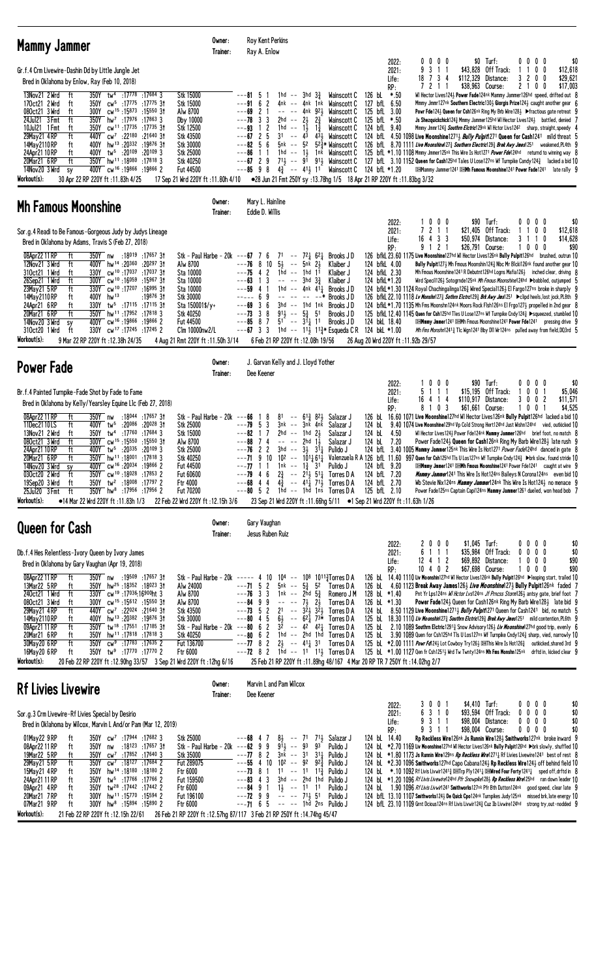| <b>Mammy Jammer</b>                                                                                                                                                                                                                                                                                                                                                                                                                                                                                                                                                                                                                                                                                                                                                                                                                                                                                                                                                                                              | Owner:<br>Trainer: | Roy Kent Perkins<br>Ray A. Enlow                                                                                                                                                                                                                                                                                                                                                                                                                                                                                                                                                                                                                                                                                                                                                                                                                          |                                                                                                                                                                                                                                                                                                                                                                                                                                                                                                                                                                                                                                                                                                                                                                                                                                                                                                                                                                                                                                                                                                                                                                                                                            |
|------------------------------------------------------------------------------------------------------------------------------------------------------------------------------------------------------------------------------------------------------------------------------------------------------------------------------------------------------------------------------------------------------------------------------------------------------------------------------------------------------------------------------------------------------------------------------------------------------------------------------------------------------------------------------------------------------------------------------------------------------------------------------------------------------------------------------------------------------------------------------------------------------------------------------------------------------------------------------------------------------------------|--------------------|-----------------------------------------------------------------------------------------------------------------------------------------------------------------------------------------------------------------------------------------------------------------------------------------------------------------------------------------------------------------------------------------------------------------------------------------------------------------------------------------------------------------------------------------------------------------------------------------------------------------------------------------------------------------------------------------------------------------------------------------------------------------------------------------------------------------------------------------------------------|----------------------------------------------------------------------------------------------------------------------------------------------------------------------------------------------------------------------------------------------------------------------------------------------------------------------------------------------------------------------------------------------------------------------------------------------------------------------------------------------------------------------------------------------------------------------------------------------------------------------------------------------------------------------------------------------------------------------------------------------------------------------------------------------------------------------------------------------------------------------------------------------------------------------------------------------------------------------------------------------------------------------------------------------------------------------------------------------------------------------------------------------------------------------------------------------------------------------------|
| Gr.f.4 Crm Livewire-Dashin Dd by Little Jungle Jet<br>Bred in Oklahoma by Enlow, Ray (Feb 10, 2018)                                                                                                                                                                                                                                                                                                                                                                                                                                                                                                                                                                                                                                                                                                                                                                                                                                                                                                              |                    | 0000<br>2022:<br>2021:<br>9 3 1 1<br>18 7 3 4<br>Life:                                                                                                                                                                                                                                                                                                                                                                                                                                                                                                                                                                                                                                                                                                                                                                                                    | $$0$ Turf:<br>\$0<br>0000<br>\$43,828<br>Off Track:<br>$0\quad0$<br>\$12,618<br>3200<br>\$29,621<br>\$112,329<br>Distance:<br>\$38,963 Course:                                                                                                                                                                                                                                                                                                                                                                                                                                                                                                                                                                                                                                                                                                                                                                                                                                                                                                                                                                                                                                                                             |
| 350Y tw <sup>4</sup> :17778<br>$:17684$ 3<br>Stk 15000<br>13Nov21 2 Wrd<br>ft<br>cw <sup>5</sup> :1775: 17775 31<br>Stk 15000<br>170ct21 2 Wrd<br>350Y<br>ft<br>300Y cw <sup>15</sup> :15873 :15550 31<br>Alw 8700<br>080ct21 3 Wrd<br>ft<br>ft<br>350Y hw <sup>7</sup> :17976<br>$:17863$ 3<br>Dby 10000<br>24Jul21 3 Fmt<br>cw <sup>11</sup> :17 <sup>735</sup> :17 <sup>735</sup> 31<br>Stk 12500<br>10Jul21 1 Fmt<br>ft<br>350Y<br>ft<br>29May21 4RP<br>440Y cw <sup>7</sup> :22180<br>:21640 31<br>Stk 43500<br>hw <sup>13</sup> :20332:19876 31<br>Stk 30000<br>14May 2110 RP<br>ft<br>400Y<br>24Apr21 10 RP<br>400Y tw <sup>5</sup> :20109 :20109 3<br>Stk 25000<br>ft<br>ft<br>20Mar21 6RP<br>350Y hw <sup>11</sup> :18080:17818 3<br>Stk 40250<br>19866 :19866 :19866 2<br>14Nov20 3 Wrd<br>Fut 44500<br>sy<br>Workout(s):<br>30 Apr 22 RP 220Y ft: 11.83h 4/25<br>17 Sep 21 Wrd 220Y ft: 11.80h 4/10                                                                                                   |                    | 7211<br>RP:<br>1hd -- 3hd $3\frac{3}{4}$<br>*.50<br><b>Wainscott C</b><br>126 bL<br>-5<br>$---9162$<br>4nk -- 4nk 1nk Wainscott C<br>127 bfL 6.50<br>$---69$ 2 1<br>-- -- 4nk 921<br>125 bfL 3.00<br>Wainscott C<br>$---78$ 3 3<br>2hd<br>$- - 2\frac{1}{2}$<br>$2\frac{3}{4}$<br>125 bfL *.50<br>Wainscott C<br>1 <sub>2</sub><br>$1hd - 13$<br>$1\frac{3}{4}$<br>124 bfL 9.40<br>Wainscott C<br>$31 - - 43$<br>$---67$ 2 5<br>$43$ Wainscott C<br>$---82$ 5 6<br>5nk -- 52<br>523* Wainscott C<br>$---86$ 1 1<br>1hd -- $1\frac{1}{2}$<br>1 <sup>nk</sup> Wainscott C<br>$---67$ 2 9<br>$71\frac{1}{2}$ -- 91 91 Wainscott C<br>$---85$ 9 8<br>$4\frac{3}{4}$ -- $41\frac{1}{2}$ 11 Wainscott C 124 bfL *1.20<br>●28 Jun 21 Fmt 250Y sy:13.78hg 1/5 18 Apr 21 RP 220Y ft:11.83bg 3/32                                                                   | 21<br>\$17,003<br>$0\quad 0$<br>WI Hector Lives124 <sub>2</sub> Power Fade124nk Mammy Jammer126hd speed, drifted out 8<br>Mmmy Jmmr127nk Southern Electric1303 Giorgis Prize1243 caught another gear 6<br>Powr Fde124} Queen for Csh126nk Ring My Brb Wire128} ▶fractious gate retreat 9<br><b>Js Shezquickchick</b> 124 $\frac{3}{4}$ Mmmy Jammer125hd WI Hector Lives124 $\frac{1}{2}$ battled, denied 7<br>Mmmy Jmmr1243 Southrn Eletric129nk WI Hetor Livs1242 sharp, straight, speedy 4<br>124 bfl. 4.50 1098 Live Moonshine12713 Bully Pulpit1271 Queen for Cash1241 mild threat 5<br>126 bfl. 8.70 1111 Live Moonshine 273 Southern Electric 1293 Brek Awy Jmes 1251 weakened, PL4th 9<br>125 bfl *1.10 1108 Mmmy Jmmer125nk This Wire Is Hot1271 Power Fde124hd returnd to winning way 8<br>127 bfL $\,$ 3.10 1152 Queen for Cash125hd Tales U Lose127ns Wf Turnpike Candy124 $\frac{3}{4}$ lacked a bid 10<br><b>DHMammy Jammer1241 DHMh Famous Moonshine1241 Power Fade1241</b> late rally 9                                                                                                                                                                                                                     |
| <b>Mh Famous Moonshine</b>                                                                                                                                                                                                                                                                                                                                                                                                                                                                                                                                                                                                                                                                                                                                                                                                                                                                                                                                                                                       | Owner:<br>Trainer: | Mary L. Hainline<br>Eddie D. Willis                                                                                                                                                                                                                                                                                                                                                                                                                                                                                                                                                                                                                                                                                                                                                                                                                       |                                                                                                                                                                                                                                                                                                                                                                                                                                                                                                                                                                                                                                                                                                                                                                                                                                                                                                                                                                                                                                                                                                                                                                                                                            |
| Sor.g.4 Readi to Be Famous-Gorgeous Judy by Judys Lineage<br>Bred in Oklahoma by Adams, Travis S (Feb 27, 2018)                                                                                                                                                                                                                                                                                                                                                                                                                                                                                                                                                                                                                                                                                                                                                                                                                                                                                                  |                    | 1000<br>2022:<br>7 2 1 1<br>2021:<br>$16$ 4 3 3<br>Life:<br>9 1 2 1                                                                                                                                                                                                                                                                                                                                                                                                                                                                                                                                                                                                                                                                                                                                                                                       | \$90 Turf:<br>\$0<br>0000<br>\$21,405<br>Off Track:<br>0 <sub>0</sub><br>\$12,618<br>$1\quad1$<br>\$50,974 Distance:<br>31<br>\$14,628<br>1<br>0                                                                                                                                                                                                                                                                                                                                                                                                                                                                                                                                                                                                                                                                                                                                                                                                                                                                                                                                                                                                                                                                           |
| 350Y nw :18019 :17657 31<br>08Apr22 11 RP<br>ft<br>12Nov21 3 Wrd<br>400Y hw <sup>14</sup> :20360<br>ft<br>:20297 31<br>Alw 8700<br>330Y cw <sup>10</sup> :17037 :17037 31<br>Sta 10000<br>310ct21 1 Wrd<br>ft<br>ft<br>26Sep21 1 Wrd<br>300Y cw <sup>10</sup> :16059 :15967 31<br>Sta 10000<br>330Y cw <sup>10</sup> :17207<br>$:16995$ 3t<br>23May 21 5 RP<br>ft<br>Sta 10000<br>hw <sup>13</sup><br>:19876 3†<br>Stk 30000<br>14May 2110 RP<br>ft<br>400Y<br>24Apr21 6RP<br>330Y tw <sup>5</sup> :17115 :17115 31<br>ft<br>Sta 150001\$/y+<br>ft<br>20Mar21 6 RP<br>350Y hw <sup>11</sup> :17952 :17818 3<br>Stk 40250<br>14Nov20 3 Wrd<br>400Y cw <sup>16</sup> :19866:198662<br>Fut 44500<br>sy<br>330Y cw <sup>17</sup> :17245:172452<br>Clm 10000nw2/L<br>310ct20 1 Wrd<br>ft<br>Workout(s):<br>9 Mar 22 RP 220Y ft : 12.38h 24/35<br>4 Aug 21 Rmt 220Y ft: 11.50h 3/14                                                                                                                                    |                    | RP:<br>Stk - Paul Harbe - 20k ---67 7 6 71 -- 72 $\frac{1}{4}$ 62 $\frac{1}{4}$ Brooks JD<br>$---76$ 8 10<br>$5\frac{1}{2}$ -- $5$ nk $2\frac{1}{2}$<br>Klaiber J<br>124 bfkL 4.00<br>$---75$ 4 2 1hd $---$ 1hd 11<br>124 bfkL 2.30<br>Klaiber J<br>$--63$ 1 3<br>$---$ 3hd $3\frac{3}{4}$<br>Klaiber J<br>124 bfkL*1.20<br>$---59$ 4 1<br>1hd -- $4nk$ $4i\frac{1}{4}$ Brooks JD<br>$--- 69$<br>$-- - - - - - -$<br>Brooks JD<br>$---69$ 3 6<br>3hd -- 1hd 1nk Brooks JD<br>38<br>$91\frac{1}{2}$ -- $5\frac{3}{4}$ 51<br>Brooks JD<br>$--85$ 8 7<br>$5^{1}$ -- $3^{11}$ 11<br>124 bkL 18.40<br>Brooks J D<br>$---67$ 3 3<br>1hd -- 113 11 $\frac{3}{4}$ Esqueda CR<br>124 bkL *1.00<br>6 Feb 21 RP 220Y ft: 12.08h 19/56<br>26 Aug 20 Wrd 220Y ft: 11.92b 29/57                                                                                         | \$26,791 Course:<br>$0\,0\,0$<br>\$90<br>126 bfkL 23.60 1175 Live Moonshine127hd WI Hector Lives126nk Bully Pulpit126hd brushed, outrun 10<br>Bully Pulpit1273 Mh Fmous Moonshin1243 Nbc Mr Blcki126nk found another gear 10<br>Mh Fmous Moonshine 1241 R Debutnt 126hd Logns Mafia 126 $\frac{1}{2}$ inched clear, driving 8<br>Wird Speci1126} Sotogrnde125nk Mh Fmous Moonshine124hd ▶bobbled, outjumped 5<br>124 bfkL *1.30 1124 Royal Chachingalinga126} Wired Special126} El Fargo127ns broke in sharply 9<br>126 bfkL 22.10 1118 Lv Monshn127½ Sothrn Eletrc129½ Brk Awy Jms1251 ▶ clipd heels, lost jock, PL8th 9<br>124 bfkL *1.70 1135 Mh Fms Moonshn124nk Moors Rock Flsh126ns El Frgo1273 propelled in 2nd gear 8<br>125 bfkL 12.40 1145 Quen for Csh125hd Tles U Lose127ns Wf Turnpike Cndy124½ ▶squeezed, stumbled 10<br><b>DHMnny Jmmer1241 DHMh Fmous Moonshine1241 Power Fde1241</b> pressing drive 9<br>Mh Fms Monshn12413 Tlc Wgn1241 Bby D11 Wr124ns pulled away from field, DQ3rd 5                                                                                                                                                                                                                   |
| <b>Power Fade</b>                                                                                                                                                                                                                                                                                                                                                                                                                                                                                                                                                                                                                                                                                                                                                                                                                                                                                                                                                                                                | Owner:             | J. Garvan Kelly and J. Lloyd Yother                                                                                                                                                                                                                                                                                                                                                                                                                                                                                                                                                                                                                                                                                                                                                                                                                       |                                                                                                                                                                                                                                                                                                                                                                                                                                                                                                                                                                                                                                                                                                                                                                                                                                                                                                                                                                                                                                                                                                                                                                                                                            |
| Br.f.4 Painted Turnpike-Fade Shot by Fade to Fame                                                                                                                                                                                                                                                                                                                                                                                                                                                                                                                                                                                                                                                                                                                                                                                                                                                                                                                                                                | Trainer:           | Dee Keener<br>$0\ 0\ 0$<br>2022:<br>2021:<br>5 1 1 1<br>16 4 1 4<br>Life:                                                                                                                                                                                                                                                                                                                                                                                                                                                                                                                                                                                                                                                                                                                                                                                 | \$90 Turf:<br>0000<br>\$0<br>\$15,195 Off Track:<br>0 <sub>1</sub><br>\$5,046<br>0<br>3 0 0 2<br>\$11,571<br>\$110,917 Distance:                                                                                                                                                                                                                                                                                                                                                                                                                                                                                                                                                                                                                                                                                                                                                                                                                                                                                                                                                                                                                                                                                           |
| Bred in Oklahoma by Kelly/Yearsley Equine Llc (Feb 27, 2018)<br>08Apr22 11 RP<br>ft<br>350Y nw<br>Stk - Paul Harbe - 20 $k$ ---66 1 8<br>:18044 :17657 3†<br>11Dec2110LS<br>ft<br>:20 <sup>086</sup> :20 <sup>028</sup> 31<br>Stk 25000<br>400Y tw <sup>5</sup><br>Stk 15000<br>13Nov21 2 Wrd<br>350Y tw <sup>4</sup> :17 <sup>60</sup> :17684 3<br>ft<br>300Y cw <sup>15</sup> :15550 :15550 31<br>080ct21 3 Wrd<br>ft<br>Alw 8700<br>ft<br>400Y tw <sup>5</sup> :20335 :20109 3<br>Stk 25000<br>24Apr21 10 RP<br>ft<br>350Y hw <sup>11</sup> :18001 :17818 3<br>20Mar21 6RP<br>Stk 40250<br>400Y<br>CW <sup>16</sup> :20034:198662<br>Fut 44500<br>14Nov20 3Wrd<br>- SY<br>350Y cw <sup>10</sup> :18028 :17853 2<br>030ct20 2 Wrd<br>ft<br><b>Fut 60600</b><br>350Y tw <sup>2</sup> :18008 :17797 2<br>19Sep20 3 Wrd<br>Ftr 4000<br>ft<br>350Y hw <sup>8</sup> :17956 :17956 2<br>Fut 70200<br>25Jul20 3 Fmt<br>ft -<br>Workout(s):<br>22 Feb 22 Wrd 220Y ft: 12.15h 3/6<br>•14 Mar 22 Wrd 220Y ft :11.83h 1/3 |                    | 8 1 0 3<br>RP:<br>$81 - 61\frac{3}{4} 82\frac{1}{2}$ Salazar J<br>$---79$ 5 3<br>3nk -- 3nk 4nk<br>124 bL<br>Salazar J<br>2hd -- 1hd $2\frac{1}{2}$<br>$---82$ 1 7<br>Salazar J<br>124 bL 4.50<br>$---88$ 7 4<br>$- --$ 2hd 1,<br>124 bL 7.20<br>Salazar J<br>$---76$ 2 2<br>$3hd - - 333312$ Pulido J<br>---71 9 10 10 <sup>2</sup> -- 1011 611 Valenzuela R A 126 bfL 11.60 997 Quen for Csh125hd Tls ULos127ns Wf Turnpike Cndy124} >brk slow, found stride 10<br>124 bfL 9.20<br>$---77$ 1 1<br>1nk -- 1½ 31 Pulido J<br>$2\frac{3}{4}$ -- $2^{1}\frac{1}{2}$ 51 Torres D A<br>$---79$ 4 6<br>124 bfL 7.20<br>$4\frac{3}{4}$ -- $41\frac{1}{4}$ 71 J Torres D A<br>124 bfL 2.70<br>$---68$ 4 4<br>$---80$ 5 2 1hd $---1$ 1hd 1ns Torres D A<br>125 bfL 2.10<br>23 Sep 21 Wrd 220Y ft: 11.66hg 5/11 ● 1 Sep 21 Wrd 220Y ft: 11.63h 1/26                | \$61,661 Course:<br>\$4,525<br>100<br>126 bl 16.60 1071 Live Moonshine127hd WI Hector Lives126nk Bully Pulpit126hd lacked a bid 10<br>9.40 1074 Live Moonshine129hd Vp Cold Strong Hert124hd Just Wishn124hd vied, outkicked 10<br>WI Hector Lives1243 Power Fde124nk Mammy Jammer126hd brief foot, no match 8<br>Power Fade1243 Queen for Cash126nk Ring My Barb Wire1283 late rush 9<br>124 bfl. 3.40 1005 Mammy Jammer125nk This Wire Is Hot1271 Power Fade124hd danced in gate 8<br><b>DHMnmy Jmmer1241 DHMh Fmous Moonshine1241 Power Fde1241</b> caught at wire 9<br><b>Mammy Jammer</b> 1241 This Wire Is Hot 124ns Baileys N Corona 124ns even bid 10<br>Wb Stevie Nix124ns <i>Mammy Jammer</i> 124nk This Wire Is Hot1243 no menace 9<br>Power Fade125ns Captain Capi124ns Mammy Jammer1261 dueled, won head bob 7                                                                                                                                                                                                                                                                                                                                                                                                |
| <b>Queen for Cash</b>                                                                                                                                                                                                                                                                                                                                                                                                                                                                                                                                                                                                                                                                                                                                                                                                                                                                                                                                                                                            | Owner:<br>Trainer: | Gary Vaughan<br>Jesus Ruben Ruiz                                                                                                                                                                                                                                                                                                                                                                                                                                                                                                                                                                                                                                                                                                                                                                                                                          |                                                                                                                                                                                                                                                                                                                                                                                                                                                                                                                                                                                                                                                                                                                                                                                                                                                                                                                                                                                                                                                                                                                                                                                                                            |
| Db.f.4 Hes Relentless-Ivory Queen by Ivory James<br>Bred in Oklahoma by Gary Vaughan (Apr 19, 2018)<br>08Apr22 11 RP<br>350Y nw :19509 :17657 31<br>ft<br>Stk - Paul Harbe - 20k ----- 4 10<br>13Mar22 5 RP<br>hw <sup>25</sup> :18352 :18023 31<br>Alw 24000<br>ft<br>350Y<br>240ct21 1 Wrd<br>ft<br>330Y cw <sup>19</sup> :17036:16900ht 3<br>Alw 8700<br>080ct21 3 Wrd<br>300Y cw <sup>15</sup> :15612:15550 31<br>Alw 8700<br>ft<br>440Y cw <sup>7</sup> :22024 :21640 3t<br>29May21 4RP<br>ft<br>Stk 43500<br>400Y hw <sup>13</sup> :20382:19876 31<br>14May 2110 RP<br>ft<br><b>Stk 30000</b><br>ft<br>350Y tw <sup>18</sup> :17551:17185 31<br>09Apr21 11 RP<br>20Mar21 6RP<br>hw <sup>11</sup> :17818:178183<br>Stk 40250<br>ft<br>350Y<br>ft<br>350Y Cw <sup>9</sup> :17783 :17635 2<br>30May20 6RP<br>Fut 136700<br>350Y tw <sup>9</sup> :17770 :17770 2<br>Ftr 6000<br>16May20 6 RP<br>ft<br>Workout(s):<br>20 Feb 22 RP 220Y ft: 12.90hg 33/57 3 Sep 21 Wrd 220Y ft: 12hg 6/16                       |                    | 2000<br>2022:<br>6 1 1 1<br>2021:<br>$12$ 4 1 2<br>Life:<br>$10$ 4 0 2<br>RP:<br>104 -- 108 1011 $\frac{3}{4}$ Torres D A<br>$---71$ 5 2<br>5nk -- $5\frac{3}{4}$ 52<br>Torres D A<br>$---76$ 3 3<br>1nk -- 2hd 5½<br>Romero J M<br>128 bL $*1.40$<br>$---84$ 9 9<br>$----7\frac{1}{2}$ 2 <sup>j</sup><br>Torres D A<br>126 bL $*1.30$<br>$---73$ 5 2 21 $- 3\overline{2}$ $\overline{2}$ $3\overline{2}$ $\overline{2}$<br>Torres D A<br>$- -80$ 4 5 6 -- 62 $\frac{1}{4}$ 73*<br>Torres D A<br>Stk - Paul Harbe - 20k ---80 6 2 $3^{\overline{2}}$ -- 4 <sup>2</sup> 4 <sup>2</sup> <sup>1</sup> Torres D A<br>$---80$ 6 2 1hd $---2$ hd 1hd<br>Torres D A<br>$---77$ 8 2 2 $\frac{1}{2}$ $---$ 41 $\frac{1}{4}$ 31 Torres D A<br>$---72$ 8 2 1hd $---11$ 11 Torres D A<br>25 Feb 21 RP 220Y ft : 11.89hg 48/167 4 Mar 20 RP TR 7 250Y ft : 14.02hg 2/7 | $$1,045$ Turf:<br>$0\ 0\ 0\ 0$<br>\$0<br>\$35.984 Off Track:<br>$0\ 0\ 0\ 0$<br>\$0<br>\$69,892 Distance:<br>1000<br>\$90<br>\$67,698 Course:<br>\$90<br>$0\,$ $0\,$ $0\,$<br>126 bL 14.40 1110 Liv Moonshin127hd W1 Hector Lives126nk Bully Pulpit126hd ▶leaping start, trailed 10<br>126 bl 4.60 1123 Break Away James 1263 Live Moonshine 1273 Bully Pulpit 126nk faded 7<br>Pnt Yr Lps124ns WI Hctor Lvs124ns Jf Prncss Storm126} antsy gate, brief foot 7<br>Power Fade 1243 Queen for Cash126nk Ring My Barb Wire 1283 late bid 9<br>124 bL 8.50 1129 Live Moonshine12713 Bully Pulpit1271 Queen for Cash1241 bid, no match 5<br>125 bl. 18.30 1110 Liv Moonshin1273 Southrn Eletric1293 Brek Awy Jmes1251 mild contention, PL6th 9<br>125 bl. 2.10 1089 Southrn Eletric1291 <sup>3</sup> Snow Advisory126 <sup>3</sup> Liv Moonshine127hd good trip, evenly 6<br>125 bl 3.90 1089 Quen for Csh125hd Tls U Los127ns Wf Turnpike Cndy1243 sharp, vied, narrowly 10<br>125 bl *2.00 1111 <i>Powr Fd</i> 124 <sup>3</sup> Lot Cowboy Try126 <sup>3</sup> DENThis Wire Is Hot126 <sup>3</sup> outkicked, shared 3rd 9<br>125 bl *1.00 1127 Qen fr Csh12511 Wrd Tw Twnty124ns Mh Fms Monshn125nk drftd in, kicked clear 9 |
| <b>Rf Livies Livewire</b>                                                                                                                                                                                                                                                                                                                                                                                                                                                                                                                                                                                                                                                                                                                                                                                                                                                                                                                                                                                        | Owner:<br>Trainer: | Marvin L and Pam Wilcox<br>Dee Keener                                                                                                                                                                                                                                                                                                                                                                                                                                                                                                                                                                                                                                                                                                                                                                                                                     |                                                                                                                                                                                                                                                                                                                                                                                                                                                                                                                                                                                                                                                                                                                                                                                                                                                                                                                                                                                                                                                                                                                                                                                                                            |
| Sor.g.3 Crm Livewire-Rf Livies Special by Desirio<br>Bred in Oklahoma by Wilcox, Marvin L And/or Pam (Mar 12, 2019)                                                                                                                                                                                                                                                                                                                                                                                                                                                                                                                                                                                                                                                                                                                                                                                                                                                                                              |                    | 3 0 0 1<br>2022:<br>6 3 1 0<br>2021:<br>9 3 1 1<br>Life:                                                                                                                                                                                                                                                                                                                                                                                                                                                                                                                                                                                                                                                                                                                                                                                                  | \$4,410 Turf:<br>0000<br>\$0<br>\$93,594 Off Track:<br>$0\ 0\ 0\ 0$<br>\$0<br>\$98,004 Distance:<br>$0\ 0\ 0\ 0$<br>\$0                                                                                                                                                                                                                                                                                                                                                                                                                                                                                                                                                                                                                                                                                                                                                                                                                                                                                                                                                                                                                                                                                                    |
| 01May22 9RP<br>350Y cw <sup>7</sup> :17944 :17682 3<br>Stk 25000<br>ft<br>Stk - Paul Harbe - 20k ---62 9 9<br>08Apr22 11 RP<br>:18123 :17657 3†<br>ft<br>350Y nw<br>19Mar22 5 RP<br>$cw^7$ :17852 :17640 3<br>Stk 35000<br>ft<br>350Y<br>$cw^7$ :18127 :17684 2<br>29May21 5 RP<br>ft<br>Fut 289075<br>350Y<br>15May21 4RP<br>350Y hw <sup>14</sup> :18180:18180 2<br>Ftr 6000<br>ft<br>24Apr21 11 RP<br>tw <sup>5</sup> :17 <sup>766</sup> :17 <sup>766</sup> 2<br>Fut 159500<br>ft<br>350Y<br>350Y tw <sup>28</sup> :17442:174422<br>09Apr21 4RP<br>ft<br>Ftr 6000<br>20Mar21 7RP<br>ft<br>300Y hw <sup>11</sup> :15770:15594 2<br>Fut 196100<br>07Mar21 9RP<br>ft<br>300Y hw <sup>8</sup> :15894 :15890 2<br>Ftr 6000<br>Workout(s):<br>21 Feb 22 RP 220Y ft: 12.15h 22/61                                                                                                                                                                                                                                    |                    | 9311<br>RP:<br>$8\frac{1}{2}$ -- 71<br>7 <sup>1</sup> <sup>3</sup> Salazar J<br>124 bl 14.40<br>$---68$ 4 7<br>911,  93<br>93<br>Pulido J<br>$3n\bar{k}$ -- $31$ $31\frac{1}{4}$ Pulido J<br>$---77$ 8 2<br>$---55$ 4 10 10 <sup>2</sup> -- 9 <sup>2</sup><br>923<br>Pulido J<br>$---73$ 8 1 11 -- 11 11 <sup>3</sup> / <sub>4</sub><br>Pulido J<br>$---83$ 4 3 3hd $---$ 2hd 1hd<br>Pulido J<br>$1\frac{1}{2}$ -- 11 11<br>$---84$ 9 1<br>Pulido J<br>$---72$ 9 9 $---713$ 51<br>Pulido J<br>$---71$ 6 5 $---$ 1hd 2ns Pulido J<br>26 Feb 21 RP 220Y ft : 12.57hg 87/117 3 Feb 21 RP 250Y ft : 14.74hg 45/47                                                                                                                                                                                                                                             | \$0<br>\$98,004 Course:<br>0000<br>Rp Reckless Wire126nk Js Runnin Wire1283 Smithworks127nk broke inward 9<br>124 bl. *2.70 1169 Liv Moonshine127hd WI Hector Lives126nk Bully Pulpit126hd >brk slowly, shuffled 10<br>124 bl *1.80 1173 Js Runnin Wire129ns Rp Reckless Wire1271 Rf Livies Livewire1241 best of rest 8<br>124 bl *2.30 1096 Smithworks127hd Capo Cabana1243 Rp Reckless Wire1243 off behind field 10<br>124 bl. *.10 1092 Rf Livis Livwir1241 <sup>3</sup> Let Trp Ply1241 <sup>1</sup> Let Nired Four Forty1241 <sup>1</sup> sped off, drftd in 8<br>124 bl. *1.20 1096 Rf Livis Livewire124hd Pfr Snowpike1283 Rp Reckless Wire125hd ran down leader 10<br>124 bl 1.90 1096 Rf Livis Livwir1241 Smithworks127nk Pfr Bth Dutton124nk good speed, clear late 9<br>124 bfl. 13.10 1107 Smithworks124} De Quick Cpo124nk Turnpikes Judy125nk missed brk, late energy 10<br>124 bfl 23.10 1109 Grnt Dcious124ns Rf Livis Livwir1243 Cuz Ib Livwire124hd strong try, out-nodded 9                                                                                                                                                                                                                             |